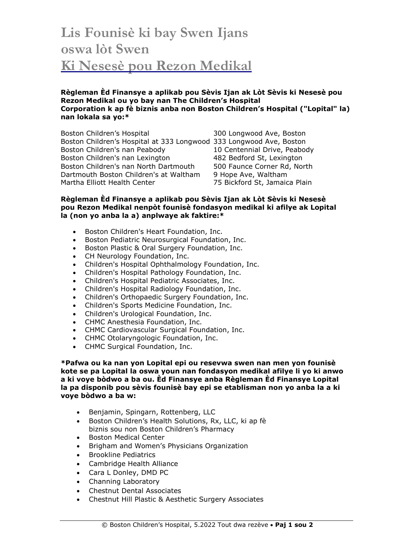## **Lis Founisè ki bay Swen Ijans oswa lòt Swen Ki Nesesè pou Rezon Medikal**

## **Règleman Èd Finansye a aplikab pou Sèvis Ijan ak Lòt Sèvis ki Nesesè pou Rezon Medikal ou yo bay nan The Children's Hospital Corporation k ap fè biznis anba non Boston Children's Hospital ("Lopital" la) nan lokala sa yo:\***

Boston Children's Hospital 300 Longwood Ave, Boston Boston Children's Hospital at 333 Longwood 333 Longwood Ave, Boston Boston Children's nan Peabody 10 Centennial Drive, Peabody Boston Children's nan Lexington 482 Bedford St, Lexington Boston Children's nan North Dartmouth 500 Faunce Corner Rd, North Dartmouth Boston Children's at Waltham 9 Hope Ave, Waltham Martha Elliott Health Center 75 Bickford St, Jamaica Plain

## **Règleman Èd Finansye a aplikab pou Sèvis Ijan ak Lòt Sèvis ki Nesesè pou Rezon Medikal nenpòt founisè fondasyon medikal ki afilye ak Lopital la (non yo anba la a) anplwaye ak faktire:\***

- Boston Children's Heart Foundation, Inc.
- Boston Pediatric Neurosurgical Foundation, Inc.
- Boston Plastic & Oral Surgery Foundation, Inc.
- CH Neurology Foundation, Inc.
- Children's Hospital Ophthalmology Foundation, Inc.
- Children's Hospital Pathology Foundation, Inc.
- Children's Hospital Pediatric Associates, Inc.
- Children's Hospital Radiology Foundation, Inc.
- Children's Orthopaedic Surgery Foundation, Inc.
- Children's Sports Medicine Foundation, Inc.
- Children's Urological Foundation, Inc.
- CHMC Anesthesia Foundation, Inc.
- CHMC Cardiovascular Surgical Foundation, Inc.
- CHMC Otolaryngologic Foundation, Inc.
- CHMC Surgical Foundation, Inc.

**\*Pafwa ou ka nan yon Lopital epi ou resevwa swen nan men yon founisè kote se pa Lopital la oswa youn nan fondasyon medikal afilye li yo ki anwo a ki voye bòdwo a ba ou. Èd Finansye anba Règleman Èd Finansye Lopital la pa disponib pou sèvis founisè bay epi se etablisman non yo anba la a ki voye bòdwo a ba w:**

- Benjamin, Spingarn, Rottenberg, LLC
- Boston Children's Health Solutions, Rx, LLC, ki ap fè biznis sou non Boston Children's Pharmacy
- Boston Medical Center
- Brigham and Women's Physicians Organization
- Brookline Pediatrics
- Cambridge Health Alliance
- Cara L Donley, DMD PC
- Channing Laboratory
- Chestnut Dental Associates
- Chestnut Hill Plastic & Aesthetic Surgery Associates